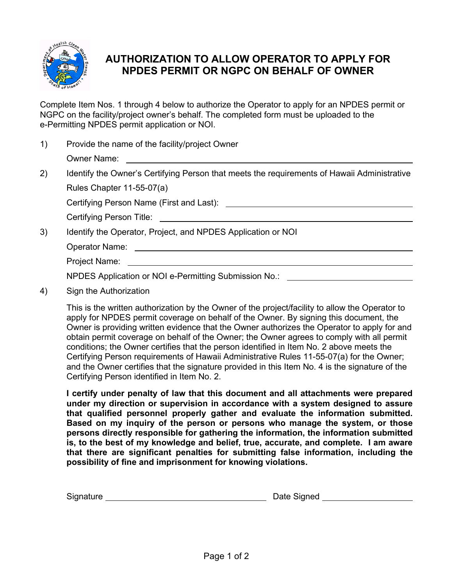

# **AUTHORIZATION TO ALLOW OPERATOR TO APPLY FOR NPDES PERMIT OR NGPC ON BEHALF OF OWNER**

Complete Item Nos. 1 through 4 below to authorize the Operator to apply for an NPDES permit or NGPC on the facility/project owner's behalf. The completed form must be uploaded to the e-Permitting NPDES permit application or NOI.

| Provide the name of the facility/project Owner |
|------------------------------------------------|
| Owner Name:                                    |

2) Identify the Owner's Certifying Person that meets the requirements of Hawaii Administrative Rules Chapter 11-55-07(a)

Certifying Person Name (First and Last):

Certifying Person Title:

3) Identify the Operator, Project, and NPDES Application or NOI

Operator Name:

Project Name:

NPDES Application or NOI e-Permitting Submission No.:

4) Sign the Authorization

This is the written authorization by the Owner of the project/facility to allow the Operator to apply for NPDES permit coverage on behalf of the Owner. By signing this document, the Owner is providing written evidence that the Owner authorizes the Operator to apply for and obtain permit coverage on behalf of the Owner; the Owner agrees to comply with all permit conditions; the Owner certifies that the person identified in Item No. 2 above meets the Certifying Person requirements of Hawaii Administrative Rules 11-55-07(a) for the Owner; and the Owner certifies that the signature provided in this Item No. 4 is the signature of the Certifying Person identified in Item No. 2.

**I certify under penalty of law that this document and all attachments were prepared under my direction or supervision in accordance with a system designed to assure that qualified personnel properly gather and evaluate the information submitted. Based on my inquiry of the person or persons who manage the system, or those persons directly responsible for gathering the information, the information submitted is, to the best of my knowledge and belief, true, accurate, and complete. I am aware that there are significant penalties for submitting false information, including the possibility of fine and imprisonment for knowing violations.**

| Signature | Date Signed |
|-----------|-------------|
|           |             |